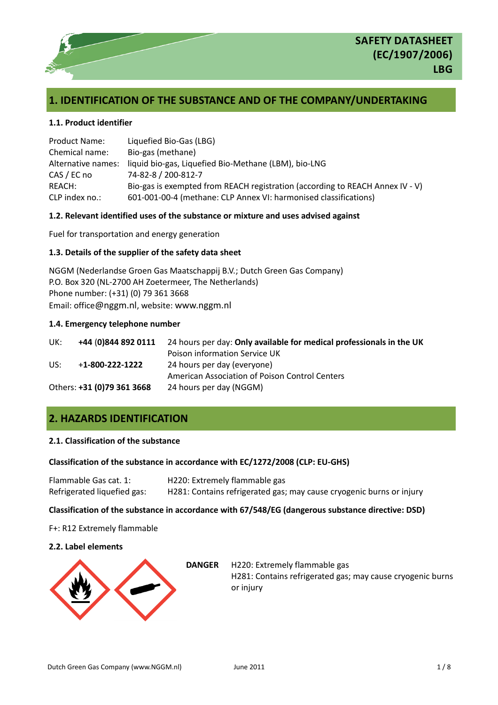

# **1. IDENTIFICATION OF THE SUBSTANCE AND OF THE COMPANY/UNDERTAKING**

### **1.1. Product identifier**

| <b>Product Name:</b> | Liquefied Bio-Gas (LBG)                                                       |
|----------------------|-------------------------------------------------------------------------------|
| Chemical name:       | Bio-gas (methane)                                                             |
| Alternative names:   | liquid bio-gas, Liquefied Bio-Methane (LBM), bio-LNG                          |
| CAS / EC no          | 74-82-8 / 200-812-7                                                           |
| REACH:               | Bio-gas is exempted from REACH registration (according to REACH Annex IV - V) |
| CLP index no.:       | 601-001-00-4 (methane: CLP Annex VI: harmonised classifications)              |

### **1.2. Relevant identified uses of the substance or mixture and uses advised against**

Fuel for transportation and energy generation

### **1.3. Details of the supplier of the safety data sheet**

NGGM (Nederlandse Groen Gas Maatschappij B.V.; Dutch Green Gas Company) P.O. Box 320 (NL-2700 AH Zoetermeer, The Netherlands) Phone number: (+31) (0) 79 361 3668 Email: office[@nggm.nl](mailto:titusmetz@nggm.nl), website: [www.nggm.nl](http://www.nggm.nl/)

### **1.4. Emergency telephone number**

| UK: | +44 (0)844 892 0111        | 24 hours per day: Only available for medical professionals in the UK |
|-----|----------------------------|----------------------------------------------------------------------|
|     |                            | Poison information Service UK                                        |
| US: | $+1 - 800 - 222 - 1222$    | 24 hours per day (everyone)                                          |
|     |                            | American Association of Poison Control Centers                       |
|     | Others: +31 (0)79 361 3668 | 24 hours per day (NGGM)                                              |

# **2. HAZARDS IDENTIFICATION**

# **2.1. Classification of the substance**

### **Classification of the substance in accordance with EC/1272/2008 (CLP: EU-GHS)**

| Flammable Gas cat. 1:       | H220: Extremely flammable gas                                        |
|-----------------------------|----------------------------------------------------------------------|
| Refrigerated liquefied gas: | H281: Contains refrigerated gas; may cause cryogenic burns or injury |

### **Classification of the substance in accordance with 67/548/EG (dangerous substance directive: DSD)**

F+: R12 Extremely flammable

## **2.2. Label elements**



**DANGER** H220: Extremely flammable gas H281: Contains refrigerated gas; may cause cryogenic burns or injury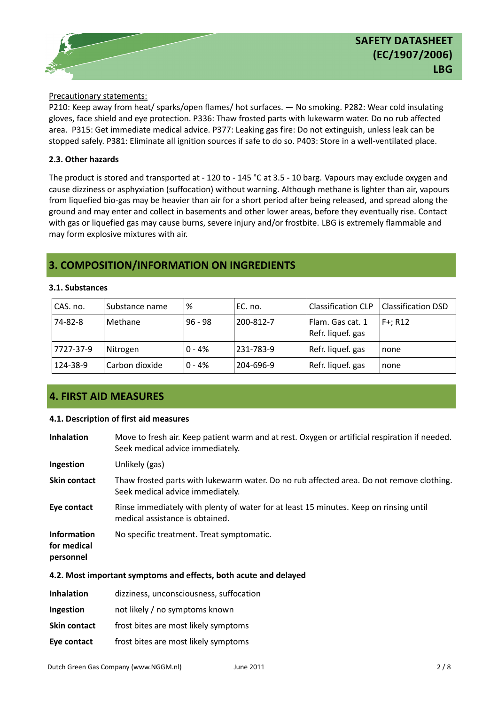### Precautionary statements:

P210: Keep away from heat/ sparks/open flames/ hot surfaces. — No smoking. P282: Wear cold insulating gloves, face shield and eye protection. P336: Thaw frosted parts with lukewarm water. Do no rub affected area. P315: Get immediate medical advice. P377: Leaking gas fire: Do not extinguish, unless leak can be stopped safely. P381: Eliminate all ignition sources if safe to do so. P403: Store in a well-ventilated place.

### **2.3. Other hazards**

The product is stored and transported at - 120 to - 145 °C at 3.5 - 10 barg. Vapours may exclude oxygen and cause dizziness or asphyxiation (suffocation) without warning. Although methane is lighter than air, vapours from liquefied bio-gas may be heavier than air for a short period after being released, and spread along the ground and may enter and collect in basements and other lower areas, before they eventually rise. Contact with gas or liquefied gas may cause burns, severe injury and/or frostbite. LBG is extremely flammable and may form explosive mixtures with air.

# **3. COMPOSITION/INFORMATION ON INGREDIENTS**

### **3.1. Substances**

| CAS. no.  | Substance name | %         | EC. no.   | <b>Classification CLP</b>             | <b>Classification DSD</b> |
|-----------|----------------|-----------|-----------|---------------------------------------|---------------------------|
| 74-82-8   | Methane        | $96 - 98$ | 200-812-7 | Flam. Gas cat. 1<br>Refr. liquef. gas | $F +: R12$                |
| 7727-37-9 | Nitrogen       | $0 - 4%$  | 231-783-9 | Refr. liquef. gas                     | none                      |
| 124-38-9  | Carbon dioxide | $0 - 4%$  | 204-696-9 | Refr. liquef. gas                     | none                      |

# **4. FIRST AID MEASURES**

### **4.1. Description of first aid measures**

| <b>Inhalation</b>                                                | Move to fresh air. Keep patient warm and at rest. Oxygen or artificial respiration if needed.<br>Seek medical advice immediately. |  |  |
|------------------------------------------------------------------|-----------------------------------------------------------------------------------------------------------------------------------|--|--|
| Ingestion                                                        | Unlikely (gas)                                                                                                                    |  |  |
| Skin contact                                                     | Thaw frosted parts with lukewarm water. Do no rub affected area. Do not remove clothing.<br>Seek medical advice immediately.      |  |  |
| Eye contact                                                      | Rinse immediately with plenty of water for at least 15 minutes. Keep on rinsing until<br>medical assistance is obtained.          |  |  |
| <b>Information</b><br>for medical<br>personnel                   | No specific treatment. Treat symptomatic.                                                                                         |  |  |
| 4.2. Most important symptoms and effects, both acute and delayed |                                                                                                                                   |  |  |

| <b>Inhalation</b>   | dizziness, unconsciousness, suffocation |
|---------------------|-----------------------------------------|
| Ingestion           | not likely / no symptoms known          |
| <b>Skin contact</b> | frost bites are most likely symptoms    |
| Eye contact         | frost bites are most likely symptoms    |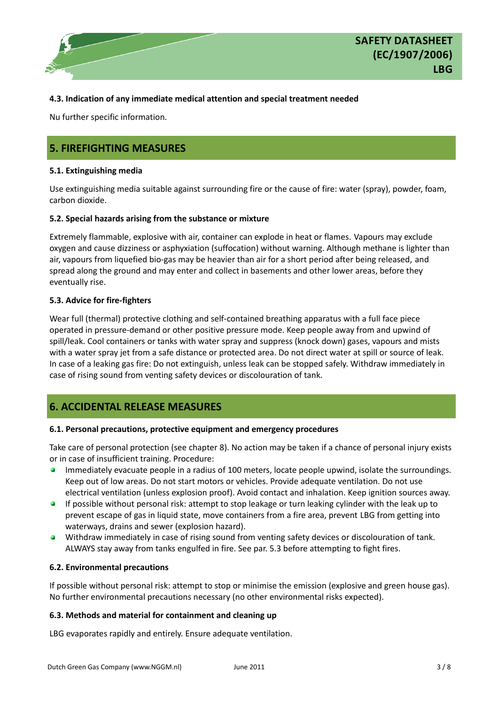

### **4.3. Indication of any immediate medical attention and special treatment needed**

Nu further specific information.

# **5. FIREFIGHTING MEASURES**

### **5.1. Extinguishing media**

Use extinguishing media suitable against surrounding fire or the cause of fire: water (spray), powder, foam, carbon dioxide.

### **5.2. Special hazards arising from the substance or mixture**

Extremely flammable, explosive with air, container can explode in heat or flames. Vapours may exclude oxygen and cause dizziness or asphyxiation (suffocation) without warning. Although methane is lighter than air, vapours from liquefied bio-gas may be heavier than air for a short period after being released, and spread along the ground and may enter and collect in basements and other lower areas, before they eventually rise.

### **5.3. Advice for fire-fighters**

Wear full (thermal) protective clothing and self-contained breathing apparatus with a full face piece operated in pressure-demand or other positive pressure mode. Keep people away from and upwind of spill/leak. Cool containers or tanks with water spray and suppress (knock down) gases, vapours and mists with a water spray jet from a safe distance or protected area. Do not direct water at spill or source of leak. In case of a leaking gas fire: Do not extinguish, unless leak can be stopped safely. Withdraw immediately in case of rising sound from venting safety devices or discolouration of tank.

# **6. ACCIDENTAL RELEASE MEASURES**

### **6.1. Personal precautions, protective equipment and emergency procedures**

Take care of personal protection (see chapter 8). No action may be taken if a chance of personal injury exists or in case of insufficient training. Procedure:

- Immediately evacuate people in a radius of 100 meters, locate people upwind, isolate the surroundings. Keep out of low areas. Do not start motors or vehicles. Provide adequate ventilation. Do not use electrical ventilation (unless explosion proof). Avoid contact and inhalation. Keep ignition sources away.
- $\bullet$ If possible without personal risk: attempt to stop leakage or turn leaking cylinder with the leak up to prevent escape of gas in liquid state, move containers from a fire area, prevent LBG from getting into waterways, drains and sewer (explosion hazard).
- О. Withdraw immediately in case of rising sound from venting safety devices or discolouration of tank. ALWAYS stay away from tanks engulfed in fire. See par. 5.3 before attempting to fight fires.

### **6.2. Environmental precautions**

If possible without personal risk: attempt to stop or minimise the emission (explosive and green house gas). No further environmental precautions necessary (no other environmental risks expected).

### **6.3. Methods and material for containment and cleaning up**

LBG evaporates rapidly and entirely. Ensure adequate ventilation.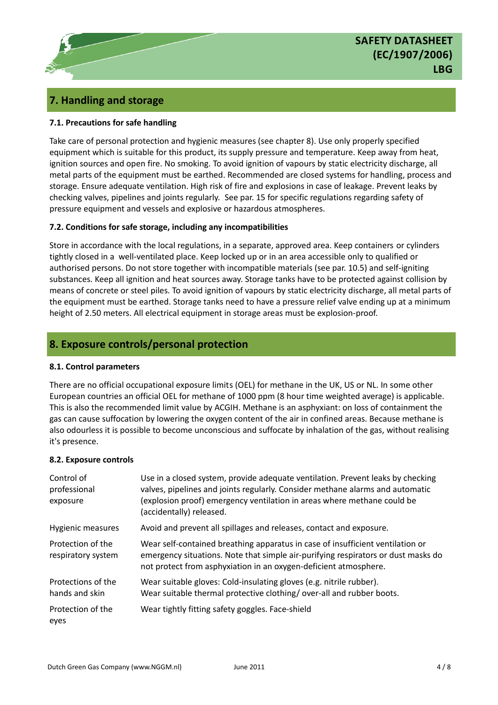# **SAFETY DATASHEET (EC/1907/2006) LBG**

# **7. Handling and storage**

# **7.1. Precautions for safe handling**

Take care of personal protection and hygienic measures (see chapter 8). Use only properly specified equipment which is suitable for this product, its supply pressure and temperature. Keep away from heat, ignition sources and open fire. No smoking. To avoid ignition of vapours by static electricity discharge, all metal parts of the equipment must be earthed. Recommended are closed systems for handling, process and storage. Ensure adequate ventilation. High risk of fire and explosions in case of leakage. Prevent leaks by checking valves, pipelines and joints regularly. See par. 15 for specific regulations regarding safety of pressure equipment and vessels and explosive or hazardous atmospheres.

## **7.2. Conditions for safe storage, including any incompatibilities**

Store in accordance with the local regulations, in a separate, approved area. Keep containers or cylinders tightly closed in a well-ventilated place. Keep locked up or in an area accessible only to qualified or authorised persons. Do not store together with incompatible materials (see par. 10.5) and self-igniting substances. Keep all ignition and heat sources away. Storage tanks have to be protected against collision by means of concrete or steel piles. To avoid ignition of vapours by static electricity discharge, all metal parts of the equipment must be earthed. Storage tanks need to have a pressure relief valve ending up at a minimum height of 2.50 meters. All electrical equipment in storage areas must be explosion-proof.

# **8. Exposure controls/personal protection**

## **8.1. Control parameters**

There are no official occupational exposure limits (OEL) for methane in the UK, US or NL. In some other European countries an official OEL for methane of 1000 ppm (8 hour time weighted average) is applicable. This is also the recommended limit value by ACGIH. Methane is an asphyxiant: on loss of containment the gas can cause suffocation by lowering the oxygen content of the air in confined areas. Because methane is also odourless it is possible to become unconscious and suffocate by inhalation of the gas, without realising it's presence.

## **8.2. Exposure controls**

| Control of<br>professional<br>exposure  | Use in a closed system, provide adequate ventilation. Prevent leaks by checking<br>valves, pipelines and joints regularly. Consider methane alarms and automatic<br>(explosion proof) emergency ventilation in areas where methane could be<br>(accidentally) released. |
|-----------------------------------------|-------------------------------------------------------------------------------------------------------------------------------------------------------------------------------------------------------------------------------------------------------------------------|
| Hygienic measures                       | Avoid and prevent all spillages and releases, contact and exposure.                                                                                                                                                                                                     |
| Protection of the<br>respiratory system | Wear self-contained breathing apparatus in case of insufficient ventilation or<br>emergency situations. Note that simple air-purifying respirators or dust masks do<br>not protect from asphyxiation in an oxygen-deficient atmosphere.                                 |
| Protections of the<br>hands and skin    | Wear suitable gloves: Cold-insulating gloves (e.g. nitrile rubber).<br>Wear suitable thermal protective clothing/over-all and rubber boots.                                                                                                                             |
| Protection of the<br>eyes               | Wear tightly fitting safety goggles. Face-shield                                                                                                                                                                                                                        |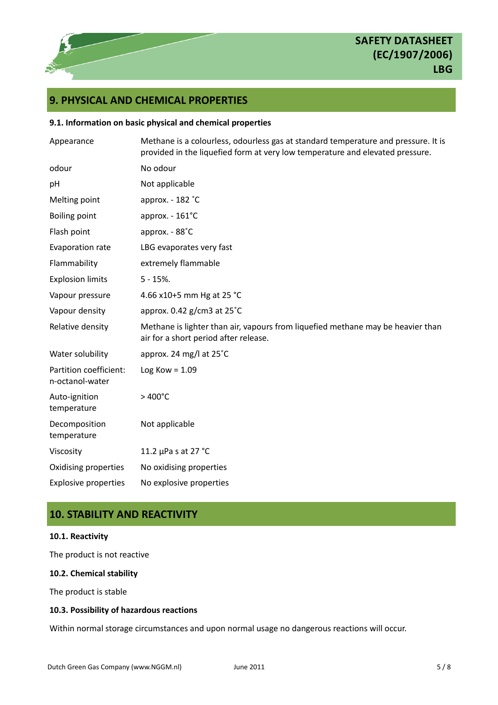# **SAFETY DATASHEET (EC/1907/2006) LBG**

# **9. PHYSICAL AND CHEMICAL PROPERTIES**

### **9.1. Information on basic physical and chemical properties**

| Appearance                                | Methane is a colourless, odourless gas at standard temperature and pressure. It is<br>provided in the liquefied form at very low temperature and elevated pressure. |
|-------------------------------------------|---------------------------------------------------------------------------------------------------------------------------------------------------------------------|
| odour                                     | No odour                                                                                                                                                            |
| pH                                        | Not applicable                                                                                                                                                      |
| Melting point                             | approx. - 182 °C                                                                                                                                                    |
| <b>Boiling point</b>                      | approx. - 161°C                                                                                                                                                     |
| Flash point                               | approx. - 88°C                                                                                                                                                      |
| Evaporation rate                          | LBG evaporates very fast                                                                                                                                            |
| Flammability                              | extremely flammable                                                                                                                                                 |
| <b>Explosion limits</b>                   | $5 - 15%$ .                                                                                                                                                         |
| Vapour pressure                           | 4.66 x10+5 mm Hg at 25 °C                                                                                                                                           |
| Vapour density                            | approx. $0.42$ g/cm3 at $25^{\circ}$ C                                                                                                                              |
| Relative density                          | Methane is lighter than air, vapours from liquefied methane may be heavier than<br>air for a short period after release.                                            |
| Water solubility                          | approx. 24 mg/l at 25°C                                                                                                                                             |
| Partition coefficient:<br>n-octanol-water | Log Kow = $1.09$                                                                                                                                                    |
| Auto-ignition<br>temperature              | $>400^{\circ}$ C                                                                                                                                                    |
| Decomposition<br>temperature              | Not applicable                                                                                                                                                      |
| Viscosity                                 | 11.2 µPa s at 27 °C                                                                                                                                                 |
| Oxidising properties                      | No oxidising properties                                                                                                                                             |
| <b>Explosive properties</b>               | No explosive properties                                                                                                                                             |

# **10. STABILITY AND REACTIVITY**

# **10.1. Reactivity**

The product is not reactive

# **10.2. Chemical stability**

The product is stable

# **10.3. Possibility of hazardous reactions**

Within normal storage circumstances and upon normal usage no dangerous reactions will occur.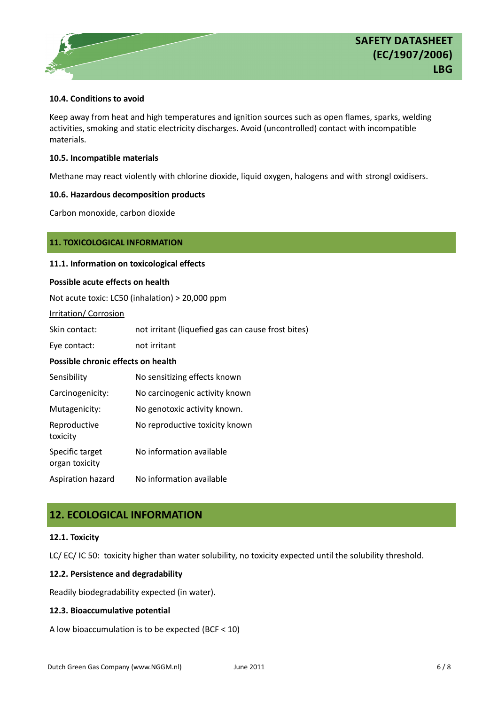### **10.4. Conditions to avoid**

Keep away from heat and high temperatures and ignition sources such as open flames, sparks, welding activities, smoking and static electricity discharges. Avoid (uncontrolled) contact with incompatible materials.

### **10.5. Incompatible materials**

Methane may react violently with chlorine dioxide, liquid oxygen, halogens and with strongl oxidisers.

### **10.6. Hazardous decomposition products**

Carbon monoxide, carbon dioxide

## **11. TOXICOLOGICAL INFORMATION**

### **11.1. Information on toxicological effects**

### **Possible acute effects on health**

Not acute toxic: LC50 (inhalation) > 20,000 ppm

### Irritation/ Corrosion

| Skin contact: | not irritant (liquefied gas can cause frost bites) |
|---------------|----------------------------------------------------|
| Eye contact:  | not irritant                                       |

## **Possible chronic effects on health**

| Sensibility                       | No sensitizing effects known   |
|-----------------------------------|--------------------------------|
| Carcinogenicity:                  | No carcinogenic activity known |
| Mutagenicity:                     | No genotoxic activity known.   |
| Reproductive<br>toxicity          | No reproductive toxicity known |
| Specific target<br>organ toxicity | No information available       |
| Aspiration hazard                 | No information available       |

# **12. ECOLOGICAL INFORMATION**

## **12.1. Toxicity**

LC/ EC/ IC 50: toxicity higher than water solubility, no toxicity expected until the solubility threshold.

## **12.2. Persistence and degradability**

Readily biodegradability expected (in water).

## **12.3. Bioaccumulative potential**

A low bioaccumulation is to be expected (BCF < 10)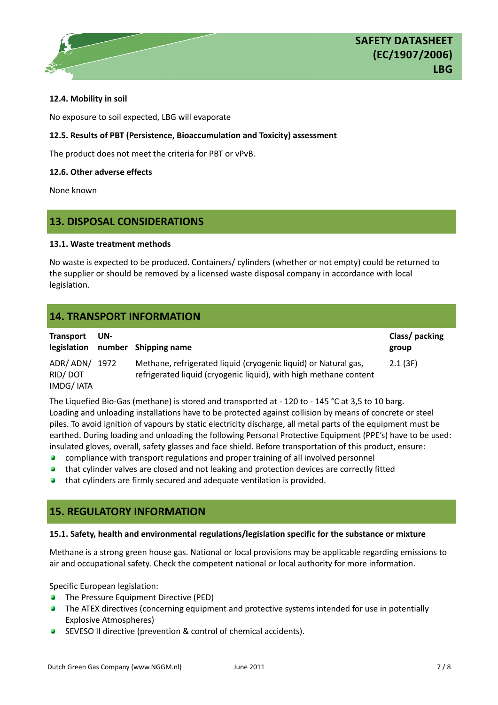### **12.4. Mobility in soil**

No exposure to soil expected, LBG will evaporate

### **12.5. Results of PBT (Persistence, Bioaccumulation and Toxicity) assessment**

The product does not meet the criteria for PBT or vPvB.

### **12.6. Other adverse effects**

None known

# **13. DISPOSAL CONSIDERATIONS**

### **13.1. Waste treatment methods**

No waste is expected to be produced. Containers/ cylinders (whether or not empty) could be returned to the supplier or should be removed by a licensed waste disposal company in accordance with local legislation.

# **14. TRANSPORT INFORMATION**

| <b>Transport</b>                  | UN-  | Class/ packing                                                                                                                       |         |
|-----------------------------------|------|--------------------------------------------------------------------------------------------------------------------------------------|---------|
|                                   |      | legislation number Shipping name                                                                                                     | group   |
| ADR/ADN/<br>RID/DOT<br>IMDG/ IATA | 1972 | Methane, refrigerated liquid (cryogenic liquid) or Natural gas,<br>refrigerated liquid (cryogenic liquid), with high methane content | 2.1(3F) |

The Liquefied Bio-Gas (methane) is stored and transported at - 120 to - 145 °C at 3,5 to 10 barg. Loading and unloading installations have to be protected against collision by means of concrete or steel piles. To avoid ignition of vapours by static electricity discharge, all metal parts of the equipment must be earthed. During loading and unloading the following Personal Protective Equipment (PPE's) have to be used: insulated gloves, overall, safety glasses and face shield. Before transportation of this product, ensure:

- $\bullet$ compliance with transport regulations and proper training of all involved personnel
- **•** that cylinder valves are closed and not leaking and protection devices are correctly fitted
- **•** that cylinders are firmly secured and adequate ventilation is provided.

# **15. REGULATORY INFORMATION**

### **15.1. Safety, health and environmental regulations/legislation specific for the substance or mixture**

Methane is a strong green house gas. National or local provisions may be applicable regarding emissions to air and occupational safety. Check the competent national or local authority for more information.

Specific European legislation:

- **•** The Pressure Equipment Directive (PED)
- **The ATEX directives (concerning equipment and protective systems intended for use in potentially** Explosive Atmospheres)
- **SEVESO II directive (prevention & control of chemical accidents).**